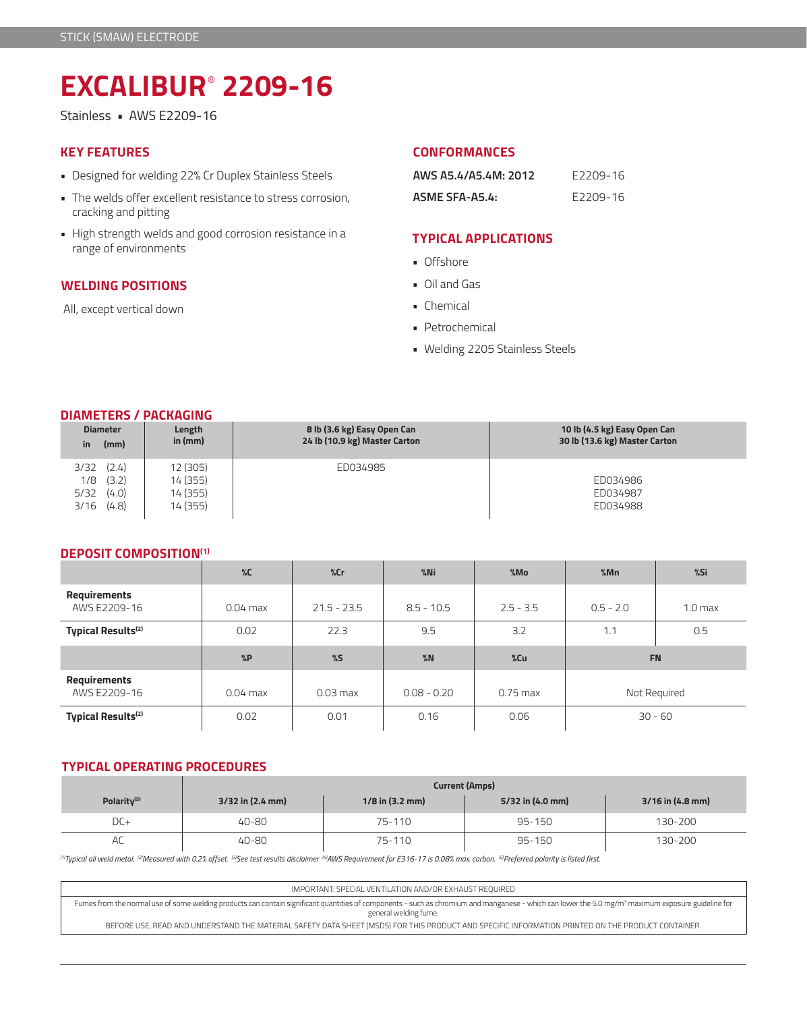# **EXCALIBUR**®  **2209-16**

Stainless • AWS E2209-16

# **KEY FEATURES**

- Designed for welding 22% Cr Duplex Stainless Steels
- The welds offer excellent resistance to stress corrosion, cracking and pitting
- High strength welds and good corrosion resistance in a range of environments

## **WELDING POSITIONS**

All, except vertical down

#### **CONFORMANCES**

| AWS A5.4/A5.4M: 2012 | E2209-16 |
|----------------------|----------|
| ASME SFA-A5.4:       | E2209-16 |

# **TYPICAL APPLICATIONS**

- Offshore
- Oil and Gas
- Chemical
- Petrochemical
- Welding 2205 Stainless Steels

## **DIAMETERS / PACKAGING**

| <b>Diameter</b><br>(mm)<br>in                                   | Length<br>in $(mm)$                          | 8 lb (3.6 kg) Easy Open Can<br>24 lb (10.9 kg) Master Carton | 10 lb (4.5 kg) Easy Open Can<br>30 lb (13.6 kg) Master Carton |
|-----------------------------------------------------------------|----------------------------------------------|--------------------------------------------------------------|---------------------------------------------------------------|
| (2.4)<br>3/32<br>(3.2)<br>1/8<br>5/32<br>(4.0)<br>(4.8)<br>3/16 | 12 (305)<br>14 (355)<br>14 (355)<br>14 (355) | ED034985                                                     | ED034986<br>ED034987<br>ED034988                              |

## **DEPOSIT COMPOSITION(1)**

|                                     | $\%C$      | %Cr           | $%$ Ni        | %Mo         | %Mn         | %Si                |
|-------------------------------------|------------|---------------|---------------|-------------|-------------|--------------------|
| <b>Requirements</b><br>AWS E2209-16 | $0.04$ max | $21.5 - 23.5$ | $8.5 - 10.5$  | $2.5 - 3.5$ | $0.5 - 2.0$ | 1.0 <sub>max</sub> |
| <b>Typical Results(2)</b>           | 0.02       | 22.3          | 9.5           | 3.2         | 1.1         | 0.5                |
|                                     |            |               |               |             | <b>FN</b>   |                    |
|                                     | %P         | $\%$          | %N            | %Cu         |             |                    |
| Requirements<br>AWS E2209-16        | $0.04$ max | $0.03$ max    | $0.08 - 0.20$ | $0.75$ max  |             | Not Required       |

# **TYPICAL OPERATING PROCEDURES**

|                         | <b>Current (Amps)</b> |                   |                  |                    |  |  |
|-------------------------|-----------------------|-------------------|------------------|--------------------|--|--|
| Polarity <sup>(5)</sup> | $3/32$ in $(2.4$ mm)  | $1/8$ in (3.2 mm) | 5/32 in (4.0 mm) | $3/16$ in (4.8 mm) |  |  |
| $DC+$                   | 40-80                 | 75-110            | $95 - 150$       | 130-200            |  |  |
| AC                      | 40-80                 | 75-110            | $95 - 150$       | 130-200            |  |  |

*(1)Typical all weld metal. (2)Measured with 0.2% offset. (3)See test results disclaimer (4)AWS Requirement for E316-17 is 0.08% max. carbon. (5)Preferred polarity is listed first.*

IMPORTANT: SPECIAL VENTILATION AND/OR EXHAUST REQUIRED Fumes from the normal use of some welding products can contain significant quantities of components - such as chromium and manganese - which can lower the 5.0 mg/m3 maximum exposure guideline for general welding fume. BEFORE USE, READ AND UNDERSTAND THE MATERIAL SAFETY DATA SHEET (MSDS) FOR THIS PRODUCT AND SPECIFIC INFORMATION PRINTED ON THE PRODUCT CONTAINER.